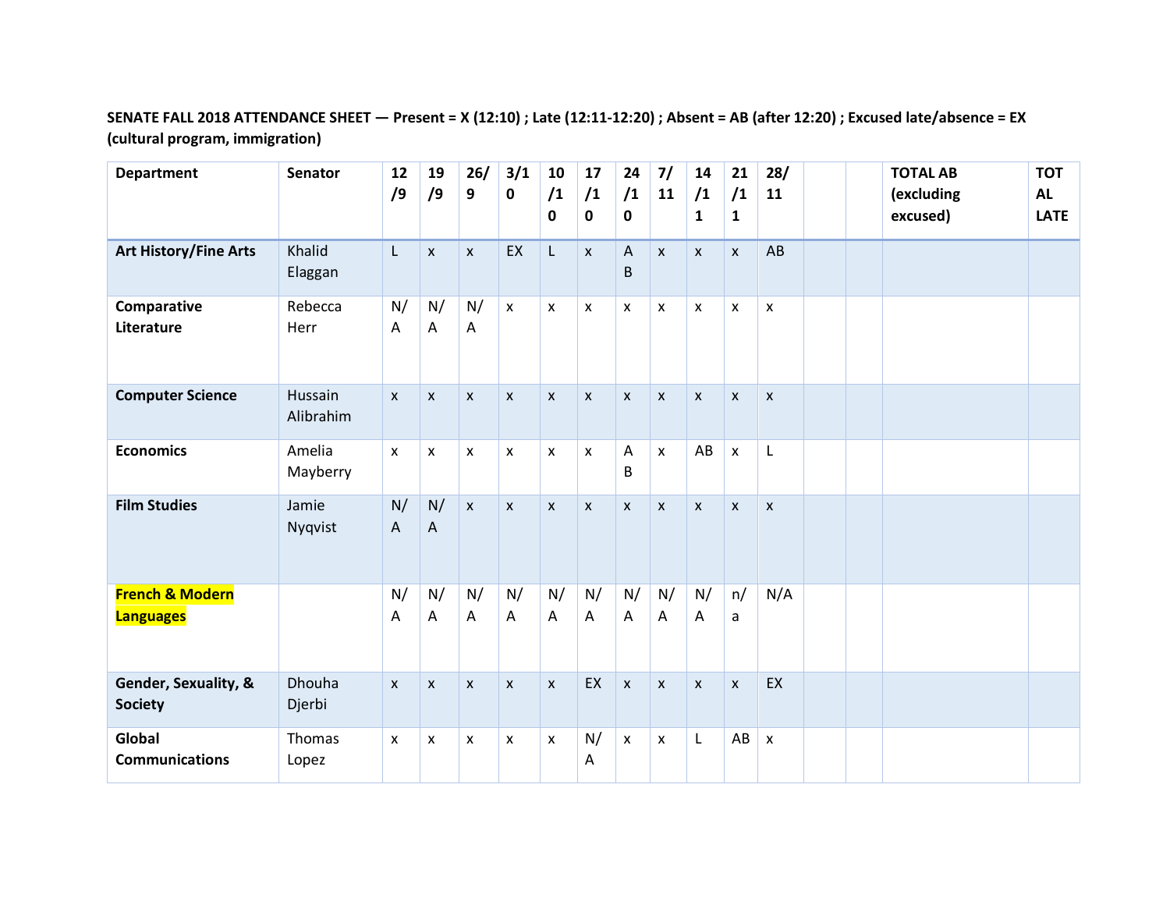## **SENATE FALL 2018 ATTENDANCE SHEET — Present = X (12:10) ; Late (12:11-12:20) ; Absent = AB (after 12:20) ; Excused late/absence = EX (cultural program, immigration)**

| <b>Department</b>                              | <b>Senator</b>          | 12<br>/9     | 19<br>/9           | 26/<br>9           | 3/1<br>$\pmb{0}$ | 10<br>/1<br>0        | 17<br>/1<br>0      | 24<br>/1<br>0  | 7/<br>11                  | 14<br>/1<br>$\mathbf{1}$ | 21<br>/1<br>$\mathbf{1}$ | 28/<br>11                 |  | <b>TOTAL AB</b><br>(excluding<br>excused) | <b>TOT</b><br><b>AL</b><br><b>LATE</b> |
|------------------------------------------------|-------------------------|--------------|--------------------|--------------------|------------------|----------------------|--------------------|----------------|---------------------------|--------------------------|--------------------------|---------------------------|--|-------------------------------------------|----------------------------------------|
| <b>Art History/Fine Arts</b>                   | Khalid<br>Elaggan       | L            | $\mathsf{x}$       | X                  | EX               | L                    | $\pmb{\mathsf{X}}$ | A<br>B         | $\pmb{\mathsf{x}}$        | $\mathsf{x}$             | $\mathsf{x}$             | AB                        |  |                                           |                                        |
| Comparative<br>Literature                      | Rebecca<br>Herr         | N/<br>Α      | N/<br>Α            | N/<br>A            | $\mathsf{X}$     | $\pmb{\chi}$         | $\pmb{\mathsf{x}}$ | $\mathsf{X}$   | $\pmb{\mathsf{X}}$        | $\mathsf{x}$             | $\pmb{\times}$           | $\pmb{\chi}$              |  |                                           |                                        |
| <b>Computer Science</b>                        | Hussain<br>Alibrahim    | $\mathsf{x}$ | $\mathsf{x}$       | $\mathsf{x}$       | $\mathsf{X}$     | $\mathsf{x}$         | $\mathsf{x}$       | $\mathsf{x}$   | $\mathsf{x}$              | $\mathsf{x}$             | $\mathsf{x}$             | $\boldsymbol{\mathsf{x}}$ |  |                                           |                                        |
| <b>Economics</b>                               | Amelia<br>Mayberry      | X            | X                  | $\pmb{\mathsf{X}}$ | X                | $\pmb{\chi}$         | $\mathsf{x}$       | A<br>B         | $\mathsf{x}$              | AB                       | $\pmb{\times}$           | $\mathsf L$               |  |                                           |                                        |
| <b>Film Studies</b>                            | Jamie<br>Nyqvist        | N/<br>A      | N/<br>$\mathsf{A}$ | $\mathsf{x}$       | $\mathsf{X}$     | $\pmb{\mathsf{x}}$   | $\mathsf X$        | $\mathsf{X}$   | $\pmb{\mathsf{x}}$        | $\pmb{\chi}$             | $\pmb{\times}$           | $\mathsf{x}$              |  |                                           |                                        |
| <b>French &amp; Modern</b><br><b>Languages</b> |                         | N/<br>A      | N/<br>A            | N/<br>A            | N/<br>A          | N/<br>$\overline{A}$ | N/<br>$\mathsf{A}$ | N/<br>A        | N/<br>$\overline{A}$      | N/<br>Α                  | n/<br>a                  | N/A                       |  |                                           |                                        |
| Gender, Sexuality, &<br><b>Society</b>         | <b>Dhouha</b><br>Djerbi | $\mathsf{x}$ | $\mathsf{x}$       | $\mathsf{x}$       | $\mathsf{x}$     | $\mathsf{x}$         | EX                 | $\pmb{\times}$ | $\boldsymbol{\mathsf{x}}$ | $\mathsf{x}$             | $\mathsf{x}$             | EX                        |  |                                           |                                        |
| Global<br><b>Communications</b>                | Thomas<br>Lopez         | X            | X                  | X                  | X                | X                    | N/<br>Α            | $\mathsf{X}$   | $\pmb{\times}$            | L                        | AB                       | $\pmb{\chi}$              |  |                                           |                                        |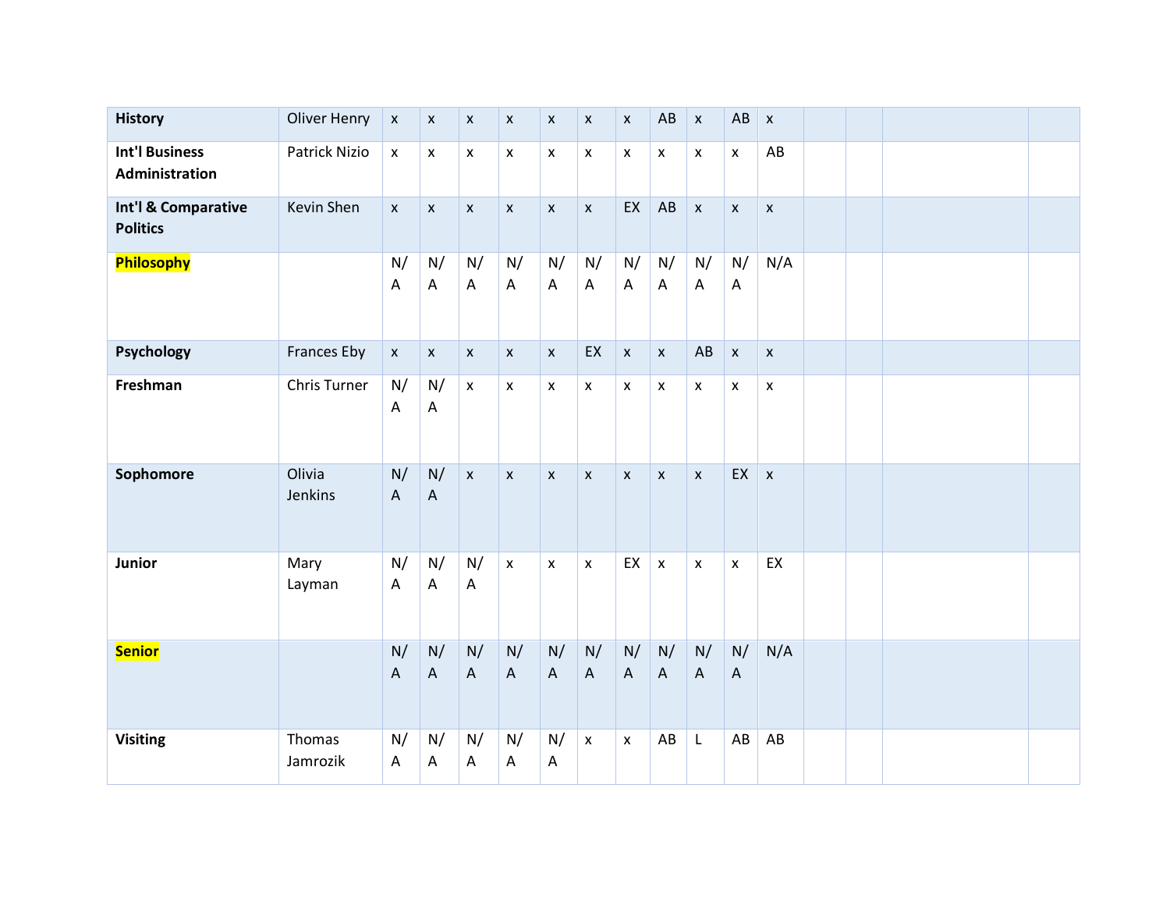| <b>History</b>                          | <b>Oliver Henry</b> | $\pmb{\mathsf{X}}$ | $\pmb{\mathsf{X}}$              | $\pmb{\mathsf{x}}$ | $\pmb{\mathsf{X}}$ | X                               | $\pmb{\mathsf{X}}$              | $\pmb{\times}$     | AB                              | $\pmb{\mathsf{x}}$ | AB                              | $\pmb{\times}$     |  |  |
|-----------------------------------------|---------------------|--------------------|---------------------------------|--------------------|--------------------|---------------------------------|---------------------------------|--------------------|---------------------------------|--------------------|---------------------------------|--------------------|--|--|
| <b>Int'l Business</b><br>Administration | Patrick Nizio       | $\pmb{\mathsf{x}}$ | $\pmb{\mathsf{x}}$              | $\pmb{\mathsf{x}}$ | $\pmb{\mathsf{x}}$ | $\pmb{\mathsf{x}}$              | $\pmb{\mathsf{X}}$              | $\mathsf X$        | $\pmb{\mathsf{x}}$              | $\pmb{\times}$     | $\pmb{\mathsf{x}}$              | AB                 |  |  |
| Int'l & Comparative<br><b>Politics</b>  | Kevin Shen          | $\pmb{\mathsf{x}}$ | $\pmb{\mathsf{x}}$              | $\pmb{\mathsf{X}}$ | $\pmb{\mathsf{X}}$ | $\pmb{\times}$                  | $\pmb{\mathsf{X}}$              | EX                 | AB                              | $\pmb{\times}$     | $\pmb{\mathsf{x}}$              | $\pmb{\mathsf{x}}$ |  |  |
| Philosophy                              |                     | N/<br>A            | N/<br>A                         | N/<br>A            | N/<br>A            | N/<br>$\boldsymbol{\mathsf{A}}$ | N/<br>$\boldsymbol{\mathsf{A}}$ | N/<br>A            | N/<br>$\mathsf{A}$              | N/<br>A            | N/<br>$\boldsymbol{\mathsf{A}}$ | N/A                |  |  |
| <b>Psychology</b>                       | <b>Frances Eby</b>  | $\pmb{\mathsf{X}}$ | $\pmb{\mathsf{x}}$              | $\pmb{\mathsf{X}}$ | $\pmb{\mathsf{X}}$ | $\pmb{\mathsf{X}}$              | EX                              | $\pmb{\mathsf{x}}$ | $\pmb{\chi}$                    | AB                 | $\pmb{\mathsf{x}}$              | $\pmb{\mathsf{X}}$ |  |  |
| Freshman                                | Chris Turner        | N/<br>A            | N/<br>A                         | $\pmb{\mathsf{X}}$ | $\pmb{\mathsf{x}}$ | $\pmb{\mathsf{x}}$              | $\pmb{\mathsf{x}}$              | $\pmb{\mathsf{X}}$ | $\pmb{\mathsf{X}}$              | $\pmb{\mathsf{X}}$ | $\pmb{\mathsf{x}}$              | $\pmb{\mathsf{x}}$ |  |  |
| Sophomore                               | Olivia<br>Jenkins   | N/<br>A            | N/<br>$\boldsymbol{\mathsf{A}}$ | $\mathsf{x}$       | $\pmb{\mathsf{x}}$ | $\pmb{\times}$                  | $\pmb{\mathsf{X}}$              | $\pmb{\times}$     | $\boldsymbol{\mathsf{X}}$       | $\mathsf{x}$       | EX                              | $\mathsf{x}$       |  |  |
| Junior                                  | Mary<br>Layman      | N/<br>Α            | N/<br>A                         | N/<br>A            | $\mathsf{x}$       | $\pmb{\times}$                  | $\pmb{\mathsf{x}}$              | EX                 | $\pmb{\times}$                  | $\pmb{\times}$     | $\pmb{\times}$                  | EX                 |  |  |
| <b>Senior</b>                           |                     | N/<br>$\mathsf A$  | N/<br>$\boldsymbol{\mathsf{A}}$ | N/<br>$\mathsf{A}$ | N/<br>$\mathsf A$  | N/<br>$\boldsymbol{\mathsf{A}}$ | N/<br>$\boldsymbol{\mathsf{A}}$ | N/<br>$\mathsf{A}$ | N/<br>$\boldsymbol{\mathsf{A}}$ | N/<br>A            | N/<br>$\boldsymbol{\mathsf{A}}$ | N/A                |  |  |
| <b>Visiting</b>                         | Thomas<br>Jamrozik  | N/<br>Α            | N/<br>A                         | N/<br>A            | N/<br>A            | N/<br>$\mathsf{A}$              | $\pmb{\mathsf{x}}$              | $\pmb{\mathsf{x}}$ | AB                              | L                  | $\mathsf{A}\mathsf{B}$          | AB                 |  |  |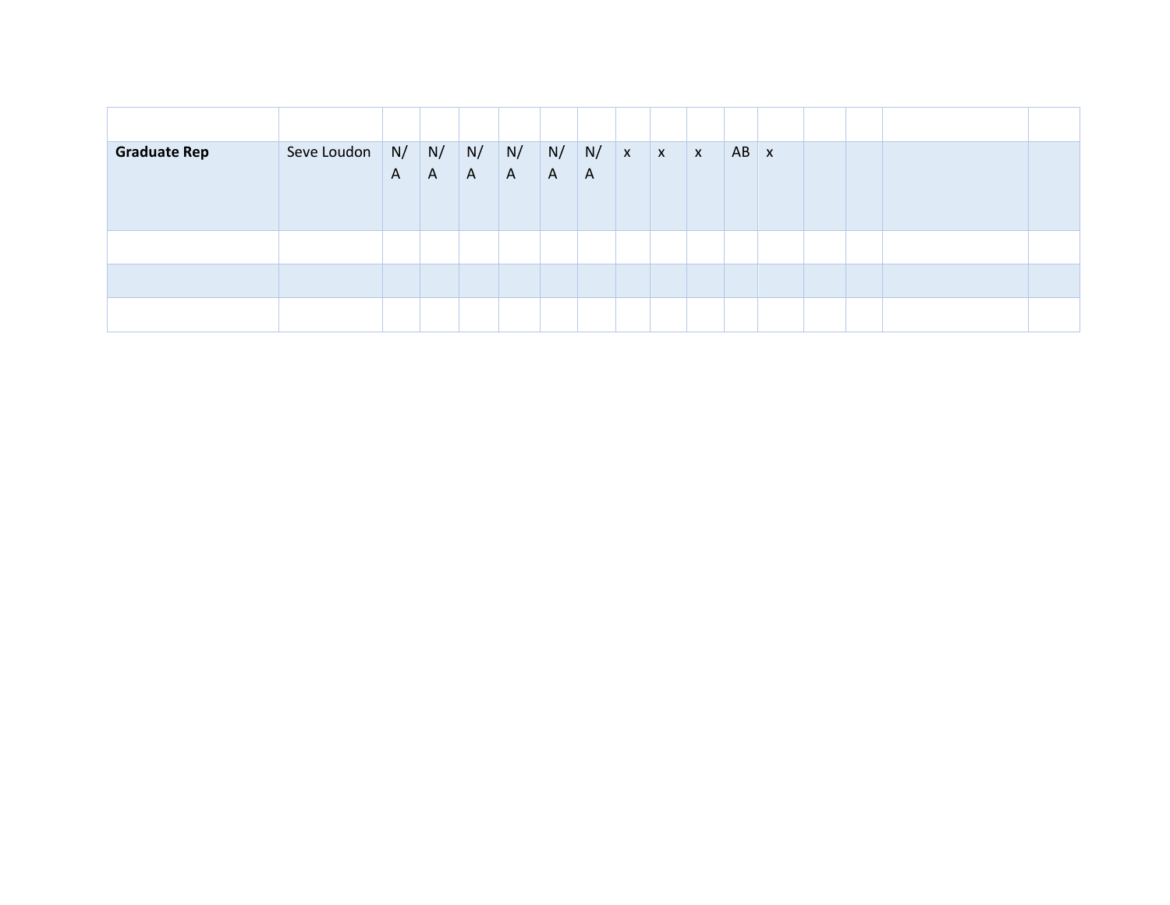| <b>Graduate Rep</b> | Seve Loudon | $\mathsf{A}$ | N/ N/<br>$\mathsf{A}$ | N/<br>$\mathsf{A}$ | N/<br>A | N/<br>A | N/<br>$\overline{A}$ | $\mathbf{x}$ | $\mathbf{x}$ | $\mathsf{X}$ | $AB \mid x$ |  |  |  |
|---------------------|-------------|--------------|-----------------------|--------------------|---------|---------|----------------------|--------------|--------------|--------------|-------------|--|--|--|
|                     |             |              |                       |                    |         |         |                      |              |              |              |             |  |  |  |
|                     |             |              |                       |                    |         |         |                      |              |              |              |             |  |  |  |
|                     |             |              |                       |                    |         |         |                      |              |              |              |             |  |  |  |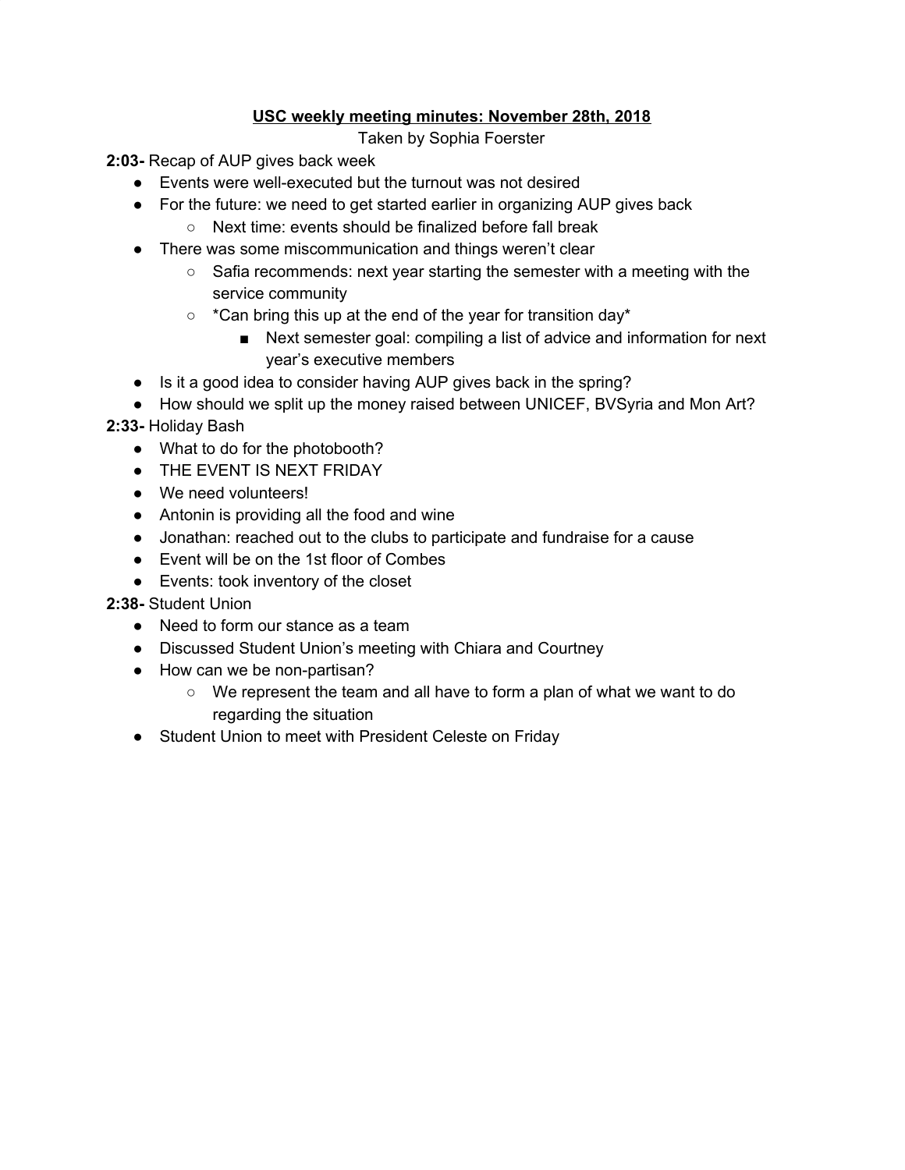### **USC weekly meeting minutes: November 28th, 2018**

Taken by Sophia Foerster

**2:03-** Recap of AUP gives back week

- Events were well-executed but the turnout was not desired
- For the future: we need to get started earlier in organizing AUP gives back
	- Next time: events should be finalized before fall break
- There was some miscommunication and things weren't clear
	- $\circ$  Safia recommends: next year starting the semester with a meeting with the service community
	- \*Can bring this up at the end of the year for transition day\*
		- Next semester goal: compiling a list of advice and information for next year's executive members
- Is it a good idea to consider having AUP gives back in the spring?
- How should we split up the money raised between UNICEF, BVSyria and Mon Art?

### **2:33-** Holiday Bash

- What to do for the photobooth?
- **THE EVENT IS NEXT FRIDAY**
- We need volunteers!
- Antonin is providing all the food and wine
- Jonathan: reached out to the clubs to participate and fundraise for a cause
- Event will be on the 1st floor of Combes
- Events: took inventory of the closet

# **2:38-** Student Union

- Need to form our stance as a team
- Discussed Student Union's meeting with Chiara and Courtney
- How can we be non-partisan?
	- We represent the team and all have to form a plan of what we want to do regarding the situation
- Student Union to meet with President Celeste on Friday